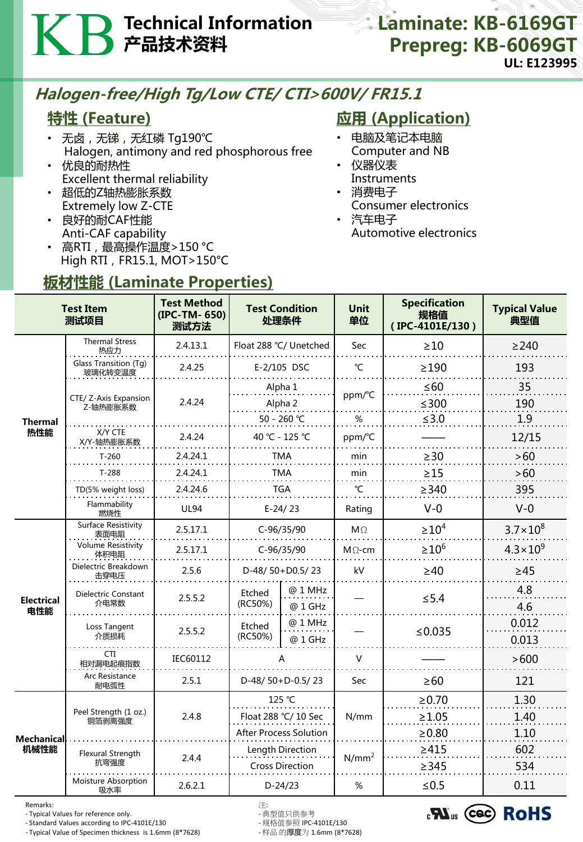# Technical Information 产品技术资料

#### Laminate: KB-6169GT Prepreg: KB-6069GT UL: E123995

## Halogen-free/High Tg/Low CTE/ CTI>600V/ FR15.1

### 特性 (Feature)

- 无卤,无锑,无红磷 Tg190℃ Halogen, antimony and red phosphorous free
- 优良的耐热性 Excellent thermal reliability
- 超低的Z轴热膨胀系数 Extremely low Z-CTE
- 良好的耐CAF性能 Anti-CAF capability
- 高RTI, 最高操作温度>150 °C High RTI, FR15.1, MOT>150°C

板材性能 (Laminate Properties)

# **应用 (Application)**

- 电脑及笔记本电脑 Computer and NB
- 仪器仪表 Instruments
- 消费电子
- Consumer electronics
- 汽车电子 Automotive electronics

| <b>Test Item</b><br>测试项目  |                                   | <b>Test Method</b><br>(IPC-TM-650)<br>测试方法 | <b>Test Condition</b><br>处理条件              |                    | <b>Unit</b><br>单位 | <b>Specification</b><br>规格值<br>(IPC-4101E/130) | <b>Typical Value</b><br>典型值 |
|---------------------------|-----------------------------------|--------------------------------------------|--------------------------------------------|--------------------|-------------------|------------------------------------------------|-----------------------------|
| Thermal<br>热性能            | <b>Thermal Stress</b><br>热应力      | 2.4.13.1                                   | Float 288 °C/ Unetched                     |                    | Sec               | $\geq 10$                                      | $\geq$ 240                  |
|                           | Glass Transition (Tg)<br>玻璃化转变温度  | 2.4.25                                     |                                            | E-2/105 DSC        | $\mathrm{C}$      | $\geq$ 190                                     | 193                         |
|                           | CTE/ Z-Axis Expansion<br>Z-轴热膨胀系数 | 2.4.24                                     | Alpha 1<br>Alpha 2                         |                    | ppm/°C            | $\leq 60$<br>$≤300$                            | 35<br>190                   |
|                           |                                   |                                            | 50 - 260 ℃                                 |                    | %                 | $≤3.0$                                         | 1.9                         |
|                           | X/Y CTE<br>X/Y-轴热膨胀系数             | 2.4.24                                     | 40 °C - 125 °C                             |                    | ppm/°C            |                                                | 12/15                       |
|                           | $T-260$                           | 2.4.24.1                                   | <b>TMA</b>                                 |                    | min               | $\geq$ 30                                      | >60                         |
|                           | $T-288$                           | 2.4.24.1                                   | <b>TMA</b>                                 |                    | min               | $\geq$ 15                                      | >60                         |
|                           | TD(5% weight loss)                | 2.4.24.6                                   | <b>TGA</b>                                 |                    | °C                | $\geq$ 340                                     | 395                         |
|                           | Flammability<br>燃烧性               | <b>UL94</b>                                | $E-24/23$                                  |                    | Rating            | $V-0$                                          | $V-0$                       |
| <b>Electrical</b><br>电性能  | Surface Resistivity<br>表面电阻       | 2.5.17.1                                   | C-96/35/90                                 |                    | $M\Omega$         | $\geq 10^4$                                    | $3.7 \times 10^{8}$         |
|                           | <b>Volume Resistivity</b><br>体积电阻 | 2.5.17.1                                   | C-96/35/90                                 |                    | $M \Omega$ -cm    | $\geq 10^6$                                    | $4.3 \times 10^{9}$         |
|                           | Dielectric Breakdown<br>击穿电压      | 2.5.6                                      | D-48/50+D0.5/23                            |                    | kV                | $\geq 40$                                      | $\geq 45$                   |
|                           | Dielectric Constant<br>介电常数       | 2.5.5.2                                    | Etched<br>(RC50%)                          | @ 1 MHz<br>@ 1 GHz |                   | $\leq$ 5.4                                     | 4.8<br>4.6                  |
|                           | Loss Tangent<br>介质损耗              | 2.5.5.2                                    | Etched<br>(RC50%)                          | @ 1 MHz<br>@ 1 GHz |                   | ≤ $0.035$                                      | 0.012<br>0.013              |
|                           | <b>CTI</b><br>相对漏电起痕指数            | IEC60112                                   |                                            |                    | $\vee$            |                                                | >600                        |
|                           | Arc Resistance<br>耐电弧性            | 2.5.1                                      | D-48/50+D-0.5/23                           |                    | Sec               | $\geq 60$                                      | 121                         |
| <b>Mechanical</b><br>机械性能 | Peel Strength (1 oz.)<br>铜箔剥离强度   | 2.4.8                                      | 125 °C                                     |                    | N/mm              | $\ge 0.70$                                     | 1.30                        |
|                           |                                   |                                            | Float 288 °C/ 10 Sec                       |                    |                   | $\geq 1.05$                                    | 1.40                        |
|                           |                                   |                                            | <b>After Process Solution</b>              |                    |                   | $\geq 0.80$                                    | 1.10                        |
|                           | Flexural Strength<br>抗弯强度         | 2.4.4                                      | Length Direction<br><b>Cross Direction</b> |                    | $N/mm^2$          | $\geq 415$<br>$\geq$ 345                       | 602<br>534                  |
|                           | Moisture Absorption<br>吸水率        | 2.6.2.1                                    | $D-24/23$                                  |                    | $\%$              | $≤ 0.5$                                        | 0.11                        |

Remarks: 注:

- Typical Values for reference only. - 典型值只供参考

- Standard Values according to IPC-4101E/130 - 规格值参照 IPC-4101E/130 - Typical Value of Specimen thickness is 1.6mm (8\*7628)